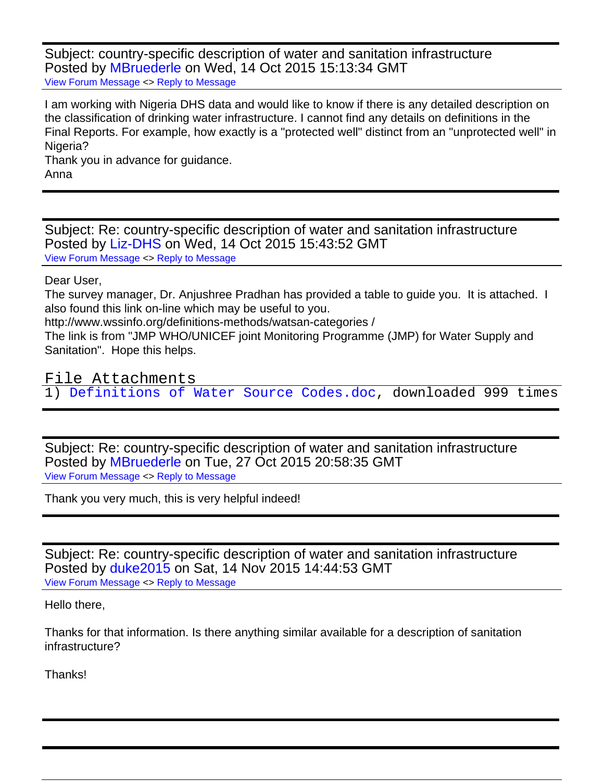Subject: country-specific description of water and sanitation infrastructure Posted by [MBruederle](https://userforum.dhsprogram.com/index.php?t=usrinfo&id=2016) on Wed, 14 Oct 2015 15:13:34 GMT [View Forum Message](https://userforum.dhsprogram.com/index.php?t=rview&th=4593&goto=8350#msg_8350) <> [Reply to Message](https://userforum.dhsprogram.com/index.php?t=post&reply_to=8350)

I am working with Nigeria DHS data and would like to know if there is any detailed description on the classification of drinking water infrastructure. I cannot find any details on definitions in the Final Reports. For example, how exactly is a "protected well" distinct from an "unprotected well" in Nigeria?

Thank you in advance for guidance. Anna

Subject: Re: country-specific description of water and sanitation infrastructure Posted by [Liz-DHS](https://userforum.dhsprogram.com/index.php?t=usrinfo&id=9) on Wed, 14 Oct 2015 15:43:52 GMT [View Forum Message](https://userforum.dhsprogram.com/index.php?t=rview&th=4593&goto=8353#msg_8353) <> [Reply to Message](https://userforum.dhsprogram.com/index.php?t=post&reply_to=8353)

## Dear User,

The survey manager, Dr. Anjushree Pradhan has provided a table to guide you. It is attached. I also found this link on-line which may be useful to you.

http://www.wssinfo.org/definitions-methods/watsan-categories /

The link is from "JMP WHO/UNICEF joint Monitoring Programme (JMP) for Water Supply and Sanitation". Hope this helps.

File Attachments

1) [Definitions of Water Source Codes.doc](https://userforum.dhsprogram.com/index.php?t=getfile&id=450), downloaded 999 times

Subject: Re: country-specific description of water and sanitation infrastructure Posted by [MBruederle](https://userforum.dhsprogram.com/index.php?t=usrinfo&id=2016) on Tue, 27 Oct 2015 20:58:35 GMT [View Forum Message](https://userforum.dhsprogram.com/index.php?t=rview&th=4593&goto=8434#msg_8434) <> [Reply to Message](https://userforum.dhsprogram.com/index.php?t=post&reply_to=8434)

Thank you very much, this is very helpful indeed!

Subject: Re: country-specific description of water and sanitation infrastructure Posted by [duke2015](https://userforum.dhsprogram.com/index.php?t=usrinfo&id=2306) on Sat, 14 Nov 2015 14:44:53 GMT [View Forum Message](https://userforum.dhsprogram.com/index.php?t=rview&th=4593&goto=8557#msg_8557) <> [Reply to Message](https://userforum.dhsprogram.com/index.php?t=post&reply_to=8557)

Hello there,

Thanks for that information. Is there anything similar available for a description of sanitation infrastructure?

Thanks!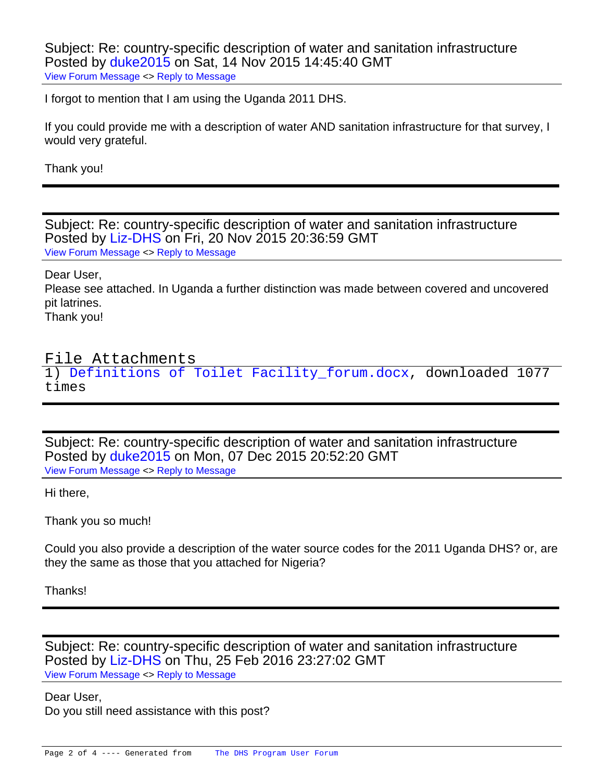Subject: Re: country-specific description of water and sanitation infrastructure Posted by [duke2015](https://userforum.dhsprogram.com/index.php?t=usrinfo&id=2306) on Sat, 14 Nov 2015 14:45:40 GMT [View Forum Message](https://userforum.dhsprogram.com/index.php?t=rview&th=4593&goto=8558#msg_8558) <> [Reply to Message](https://userforum.dhsprogram.com/index.php?t=post&reply_to=8558)

I forgot to mention that I am using the Uganda 2011 DHS.

If you could provide me with a description of water AND sanitation infrastructure for that survey, I would very grateful.

Thank you!

Subject: Re: country-specific description of water and sanitation infrastructure Posted by [Liz-DHS](https://userforum.dhsprogram.com/index.php?t=usrinfo&id=9) on Fri, 20 Nov 2015 20:36:59 GMT [View Forum Message](https://userforum.dhsprogram.com/index.php?t=rview&th=4593&goto=8603#msg_8603) <> [Reply to Message](https://userforum.dhsprogram.com/index.php?t=post&reply_to=8603)

Dear User,

Please see attached. In Uganda a further distinction was made between covered and uncovered pit latrines.

Thank you!

## File Attachments

1) [Definitions of Toilet Facility\\_forum.docx,](https://userforum.dhsprogram.com/index.php?t=getfile&id=468) downloaded 1077 times

Subject: Re: country-specific description of water and sanitation infrastructure Posted by [duke2015](https://userforum.dhsprogram.com/index.php?t=usrinfo&id=2306) on Mon, 07 Dec 2015 20:52:20 GMT [View Forum Message](https://userforum.dhsprogram.com/index.php?t=rview&th=4593&goto=8717#msg_8717) <> [Reply to Message](https://userforum.dhsprogram.com/index.php?t=post&reply_to=8717)

Hi there,

Thank you so much!

Could you also provide a description of the water source codes for the 2011 Uganda DHS? or, are they the same as those that you attached for Nigeria?

Thanks!

Subject: Re: country-specific description of water and sanitation infrastructure Posted by [Liz-DHS](https://userforum.dhsprogram.com/index.php?t=usrinfo&id=9) on Thu, 25 Feb 2016 23:27:02 GMT [View Forum Message](https://userforum.dhsprogram.com/index.php?t=rview&th=4593&goto=9235#msg_9235) <> [Reply to Message](https://userforum.dhsprogram.com/index.php?t=post&reply_to=9235)

Dear User, Do you still need assistance with this post?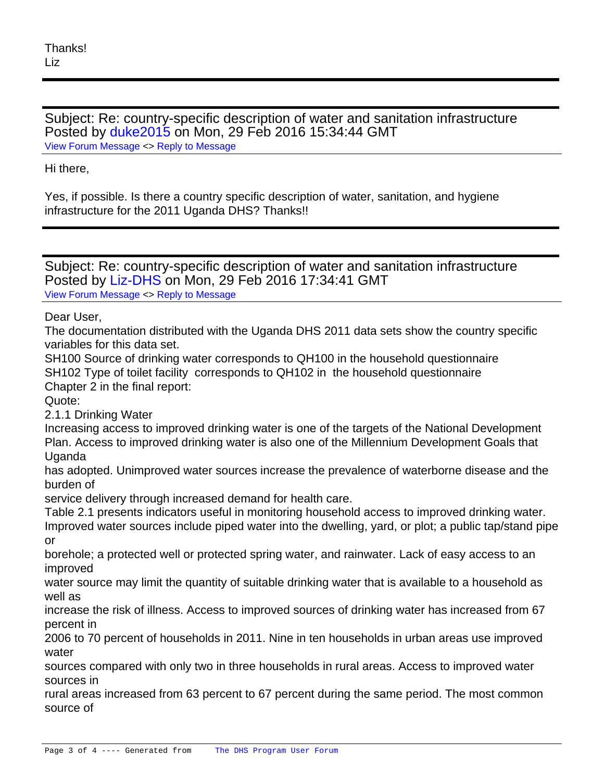Subject: Re: country-specific description of water and sanitation infrastructure Posted by [duke2015](https://userforum.dhsprogram.com/index.php?t=usrinfo&id=2306) on Mon, 29 Feb 2016 15:34:44 GMT [View Forum Message](https://userforum.dhsprogram.com/index.php?t=rview&th=4593&goto=9263#msg_9263) <> [Reply to Message](https://userforum.dhsprogram.com/index.php?t=post&reply_to=9263)

Hi there,

Yes, if possible. Is there a country specific description of water, sanitation, and hygiene infrastructure for the 2011 Uganda DHS? Thanks!!

Subject: Re: country-specific description of water and sanitation infrastructure Posted by [Liz-DHS](https://userforum.dhsprogram.com/index.php?t=usrinfo&id=9) on Mon, 29 Feb 2016 17:34:41 GMT [View Forum Message](https://userforum.dhsprogram.com/index.php?t=rview&th=4593&goto=9264#msg_9264) <> [Reply to Message](https://userforum.dhsprogram.com/index.php?t=post&reply_to=9264)

Dear User,

The documentation distributed with the Uganda DHS 2011 data sets show the country specific variables for this data set.

SH100 Source of drinking water corresponds to QH100 in the household questionnaire SH102 Type of toilet facility corresponds to QH102 in the household questionnaire Chapter 2 in the final report:

Quote:

2.1.1 Drinking Water

Increasing access to improved drinking water is one of the targets of the National Development Plan. Access to improved drinking water is also one of the Millennium Development Goals that Uganda

has adopted. Unimproved water sources increase the prevalence of waterborne disease and the burden of

service delivery through increased demand for health care.

Table 2.1 presents indicators useful in monitoring household access to improved drinking water. Improved water sources include piped water into the dwelling, yard, or plot; a public tap/stand pipe or

borehole; a protected well or protected spring water, and rainwater. Lack of easy access to an improved

water source may limit the quantity of suitable drinking water that is available to a household as well as

increase the risk of illness. Access to improved sources of drinking water has increased from 67 percent in

2006 to 70 percent of households in 2011. Nine in ten households in urban areas use improved water

sources compared with only two in three households in rural areas. Access to improved water sources in

rural areas increased from 63 percent to 67 percent during the same period. The most common source of